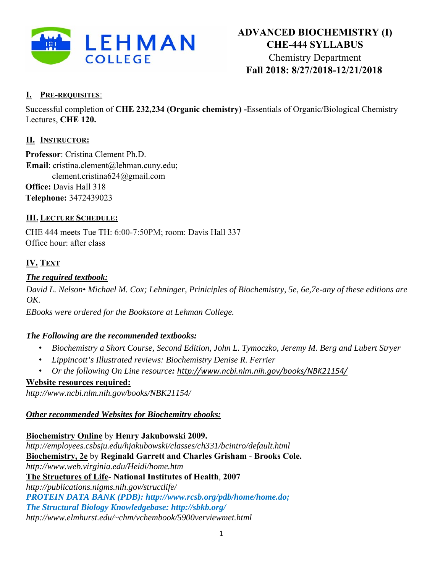

## **I. PRE-REQUISITES**:

Successful completion of **CHE 232,234 (Organic chemistry) -**Essentials of Organic/Biological Chemistry Lectures, **CHE 120.**

## **II. INSTRUCTOR:**

**Professor**: Cristina Clement Ph.D. **Email**: cristina.clement@lehman.cuny.edu; clement.cristina624@gmail.com **Office:** Davis Hall 318 **Telephone:** 3472439023

## **III. LECTURE SCHEDULE:**

CHE 444 meets Tue TH: 6:00-7:50PM; room: Davis Hall 337 Office hour: after class

# **IV. TEXT**

## *The required textbook:*

*David L. Nelson• Michael M. Cox; Lehninger, Priniciples of Biochemistry, 5e, 6e,7e-any of these editions are OK.* 

*EBooks were ordered for the Bookstore at Lehman College.* 

### *The Following are the recommended textbooks:*

- *Biochemistry a Short Course, Second Edition, John L. Tymoczko, Jeremy M. Berg and Lubert Stryer*
- *Lippincott's Illustrated reviews: Biochemistry Denise R. Ferrier*
- *Or the following On Line resource: http://www.ncbi.nlm.nih.gov/books/NBK21154/*

### **Website resources required:**

*http://www.ncbi.nlm.nih.gov/books/NBK21154/* 

### *Other recommended Websites for Biochemitry ebooks:*

### **Biochemistry Online** by **Henry Jakubowski 2009.**

*http://employees.csbsju.edu/hjakubowski/classes/ch331/bcintro/default.html*  **Biochemistry, 2e** by **Reginald Garrett and Charles Grisham** - **Brooks Cole.**  *http://www.web.virginia.edu/Heidi/home.htm*  **The Structures of Life**- **National Institutes of Health**, **2007**  *http://publications.nigms.nih.gov/structlife/ PROTEIN DATA BANK (PDB): http://www.rcsb.org/pdb/home/home.do; The Structural Biology Knowledgebase: http://sbkb.org/ http://www.elmhurst.edu/~chm/vchembook/5900verviewmet.html*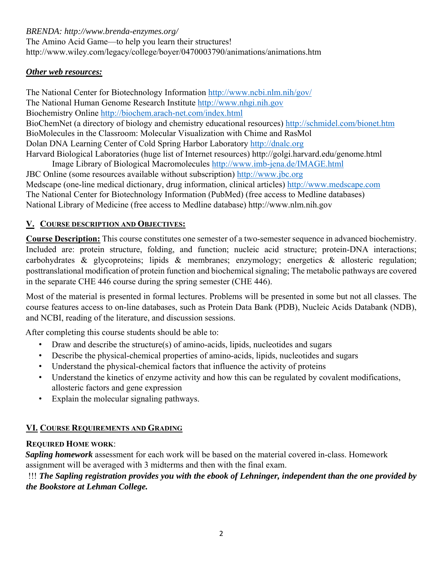*BRENDA: http://www.brenda-enzymes.org/* 

The Amino Acid Game—to help you learn their structures! http://www.wiley.com/legacy/college/boyer/0470003790/animations/animations.htm

### *Other web resources:*

The National Center for Biotechnology Information http://www.ncbi.nlm.nih/gov/ The National Human Genome Research Institute http://www.nhgi.nih.gov Biochemistry Online http://biochem.arach-net.com/index.html BioChemNet (a directory of biology and chemistry educational resources) http://schmidel.com/bionet.htm BioMolecules in the Classroom: Molecular Visualization with Chime and RasMol Dolan DNA Learning Center of Cold Spring Harbor Laboratory http://dnalc.org Harvard Biological Laboratories (huge list of Internet resources) http://golgi.harvard.edu/genome.html

Image Library of Biological Macromolecules http://www.imb-jena.de/IMAGE.html JBC Online (some resources available without subscription) http://www.jbc.org Medscape (one-line medical dictionary, drug information, clinical articles) http://www.medscape.com The National Center for Biotechnology Information (PubMed) (free access to Medline databases) National Library of Medicine (free access to Medline database) http://www.nlm.nih.gov

## **V. COURSE DESCRIPTION AND OBJECTIVES:**

**Course Description:** This course constitutes one semester of a two-semester sequence in advanced biochemistry. Included are: protein structure, folding, and function; nucleic acid structure; protein-DNA interactions; carbohydrates & glycoproteins; lipids & membranes; enzymology; energetics & allosteric regulation; posttranslational modification of protein function and biochemical signaling; The metabolic pathways are covered in the separate CHE 446 course during the spring semester (CHE 446).

Most of the material is presented in formal lectures. Problems will be presented in some but not all classes. The course features access to on-line databases, such as Protein Data Bank (PDB), Nucleic Acids Databank (NDB), and NCBI, reading of the literature, and discussion sessions.

After completing this course students should be able to:

- Draw and describe the structure(s) of amino-acids, lipids, nucleotides and sugars
- Describe the physical-chemical properties of amino-acids, lipids, nucleotides and sugars
- Understand the physical-chemical factors that influence the activity of proteins
- Understand the kinetics of enzyme activity and how this can be regulated by covalent modifications, allosteric factors and gene expression
- Explain the molecular signaling pathways.

# **VI. COURSE REQUIREMENTS AND GRADING**

# **REQUIRED HOME WORK**:

*Sapling homework* assessment for each work will be based on the material covered in-class. Homework assignment will be averaged with 3 midterms and then with the final exam.

## !!! *The Sapling registration provides you with the ebook of Lehninger, independent than the one provided by the Bookstore at Lehman College.*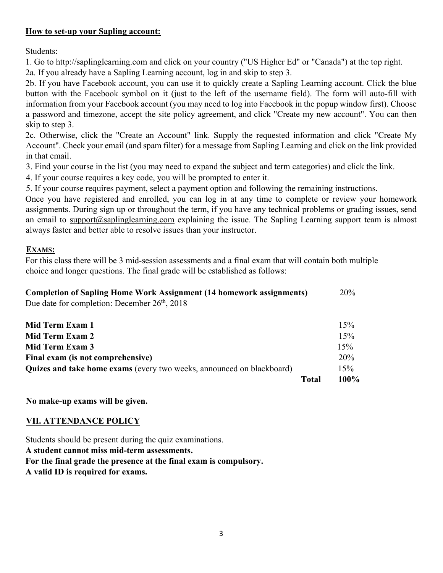#### **How to set-up your Sapling account:**

Students:

1. Go to http://saplinglearning.com and click on your country ("US Higher Ed" or "Canada") at the top right.

2a. If you already have a Sapling Learning account, log in and skip to step 3.

2b. If you have Facebook account, you can use it to quickly create a Sapling Learning account. Click the blue button with the Facebook symbol on it (just to the left of the username field). The form will auto-fill with information from your Facebook account (you may need to log into Facebook in the popup window first). Choose a password and timezone, accept the site policy agreement, and click "Create my new account". You can then skip to step 3.

2c. Otherwise, click the "Create an Account" link. Supply the requested information and click "Create My Account". Check your email (and spam filter) for a message from Sapling Learning and click on the link provided in that email.

3. Find your course in the list (you may need to expand the subject and term categories) and click the link.

4. If your course requires a key code, you will be prompted to enter it.

5. If your course requires payment, select a payment option and following the remaining instructions.

Once you have registered and enrolled, you can log in at any time to complete or review your homework assignments. During sign up or throughout the term, if you have any technical problems or grading issues, send an email to support@saplinglearning.com explaining the issue. The Sapling Learning support team is almost always faster and better able to resolve issues than your instructor.

#### **EXAMS:**

For this class there will be 3 mid-session assessments and a final exam that will contain both multiple choice and longer questions. The final grade will be established as follows:

| <b>Completion of Sapling Home Work Assignment (14 homework assignments)</b> | 20% |
|-----------------------------------------------------------------------------|-----|
| Due date for completion: December $26th$ , 2018                             |     |

|                                                                       | Total | 100% |
|-----------------------------------------------------------------------|-------|------|
| Quizes and take home exams (every two weeks, announced on blackboard) |       | 15%  |
| Final exam (is not comprehensive)                                     |       | 20%  |
| Mid Term Exam 3                                                       |       | 15%  |
| Mid Term Exam 2                                                       |       | 15%  |
| Mid Term Exam 1                                                       |       | 15%  |

**No make-up exams will be given.**

### **VII. ATTENDANCE POLICY**

Students should be present during the quiz examinations. **A student cannot miss mid-term assessments. For the final grade the presence at the final exam is compulsory. A valid ID is required for exams.**